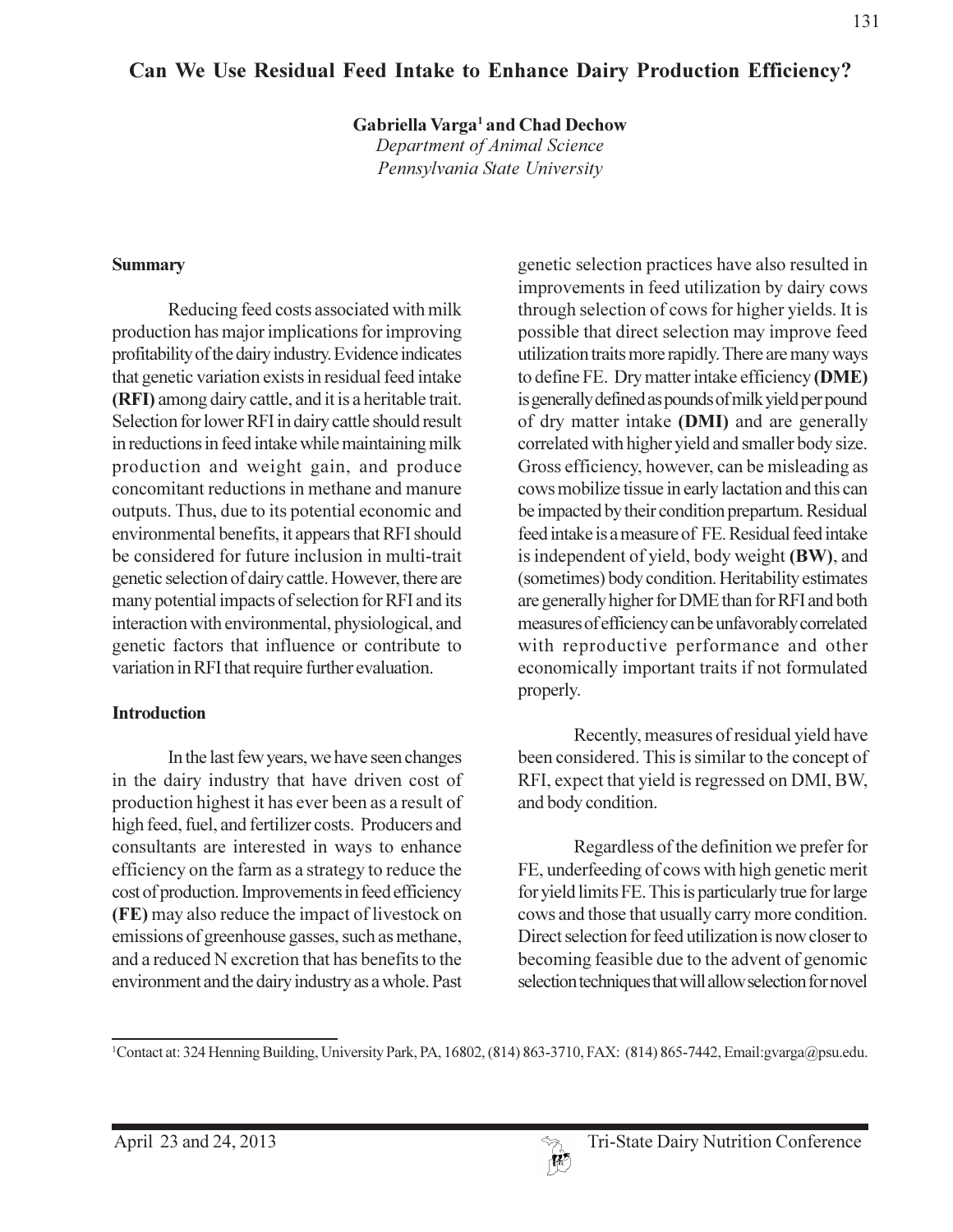# Can We Use Residual Feed Intake to Enhance Dairy Production Efficiency?

Gabriella Varga<sup>1</sup> and Chad Dechow

Department of Animal Science Pennsylvania State University

#### **Summary**

Reducing feed costs associated with milk production has major implications for improving profitability of the dairy industry. Evidence indicates that genetic variation exists in residual feed intake (RFI) among dairy cattle, and it is a heritable trait. Selection for lower RFI in dairy cattle should result in reductions in feed intake while maintaining milk production and weight gain, and produce concomitant reductions in methane and manure outputs. Thus, due to its potential economic and environmental benefits, it appears that RFI should be considered for future inclusion in multi-trait genetic selection of dairy cattle. However, there are many potential impacts of selection for RFI and its interaction with environmental, physiological, and genetic factors that influence or contribute to variation in RFI that require further evaluation.

#### **Introduction**

In the last few years, we have seen changes in the dairy industry that have driven cost of production highest it has ever been as a result of high feed, fuel, and fertilizer costs. Producers and consultants are interested in ways to enhance efficiency on the farm as a strategy to reduce the cost of production. Improvements in feed efficiency (FE) may also reduce the impact of livestock on emissions of greenhouse gasses, such as methane. and a reduced N excretion that has benefits to the environment and the dairy industry as a whole. Past

genetic selection practices have also resulted in improvements in feed utilization by dairy cows through selection of cows for higher yields. It is possible that direct selection may improve feed utilization traits more rapidly. There are many ways to define FE. Dry matter intake efficiency (DME) is generally defined as pounds of milk yield per pound of dry matter intake (DMI) and are generally correlated with higher yield and smaller body size. Gross efficiency, however, can be misleading as cows mobilize tissue in early lactation and this can be impacted by their condition prepartum. Residual feed intake is a measure of FE. Residual feed intake is independent of yield, body weight (BW), and (sometimes) body condition. Heritability estimates are generally higher for DME than for RFI and both measures of efficiency can be unfavorably correlated with reproductive performance and other economically important traits if not formulated properly.

Recently, measures of residual yield have been considered. This is similar to the concept of RFI, expect that yield is regressed on DMI, BW, and body condition.

Regardless of the definition we prefer for FE, underfeeding of cows with high genetic merit for yield limits FE. This is particularly true for large cows and those that usually carry more condition. Direct selection for feed utilization is now closer to becoming feasible due to the advent of genomic selection techniques that will allow selection for novel

<sup>&</sup>lt;sup>1</sup>Contact at: 324 Henning Building, University Park, PA, 16802, (814) 863-3710, FAX: (814) 865-7442, Email: gvarga@psu.edu.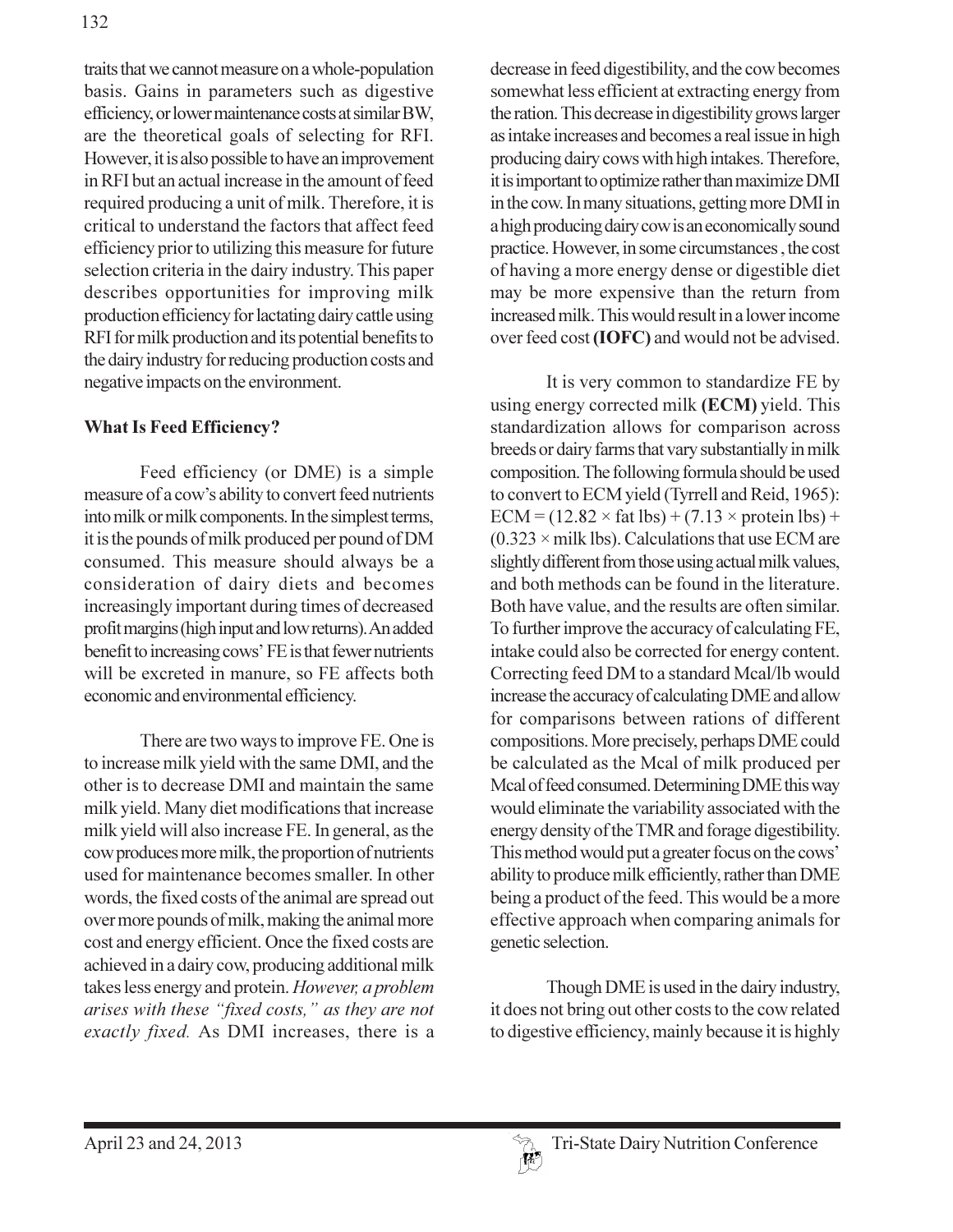traits that we cannot measure on a whole-population basis. Gains in parameters such as digestive efficiency, or lower maintenance costs at similar BW, are the theoretical goals of selecting for RFI. However, it is also possible to have an improvement in RFI but an actual increase in the amount of feed required producing a unit of milk. Therefore, it is critical to understand the factors that affect feed efficiency prior to utilizing this measure for future selection criteria in the dairy industry. This paper describes opportunities for improving milk production efficiency for lactating dairy cattle using RFI for milk production and its potential benefits to the dairy industry for reducing production costs and negative impacts on the environment.

#### **What Is Feed Efficiency?**

Feed efficiency (or DME) is a simple measure of a cow's ability to convert feed nutrients into milk or milk components. In the simplest terms, it is the pounds of milk produced per pound of DM consumed. This measure should always be a consideration of dairy diets and becomes increasingly important during times of decreased profit margins (high input and low returns). An added benefit to increasing cows' FE is that fewer nutrients will be excreted in manure, so FE affects both economic and environmental efficiency.

There are two ways to improve FE. One is to increase milk yield with the same DMI, and the other is to decrease DMI and maintain the same milk yield. Many diet modifications that increase milk yield will also increase FE. In general, as the cow produces more milk, the proportion of nutrients used for maintenance becomes smaller. In other words, the fixed costs of the animal are spread out over more pounds of milk, making the animal more cost and energy efficient. Once the fixed costs are achieved in a dairy cow, producing additional milk takes less energy and protein. However, a problem arises with these "fixed costs," as they are not exactly fixed. As DMI increases, there is a decrease in feed digestibility, and the cow becomes somewhat less efficient at extracting energy from the ration. This decrease in digestibility grows larger as intake increases and becomes a real issue in high producing dairy cows with high intakes. Therefore, it is important to optimize rather than maximize DMI in the cow. In many situations, getting more DMI in a high producing dairy cow is an economically sound practice. However, in some circumstances, the cost of having a more energy dense or digestible diet may be more expensive than the return from increased milk. This would result in a lower income over feed cost (IOFC) and would not be advised.

It is very common to standardize FE by using energy corrected milk (ECM) yield. This standardization allows for comparison across breeds or dairy farms that vary substantially in milk composition. The following formula should be used to convert to ECM yield (Tyrrell and Reid, 1965):  $ECM = (12.82 \times \text{fat lbs}) + (7.13 \times \text{protein lbs}) +$  $(0.323 \times$  milk lbs). Calculations that use ECM are slightly different from those using actual milk values, and both methods can be found in the literature. Both have value, and the results are often similar. To further improve the accuracy of calculating FE, intake could also be corrected for energy content. Correcting feed DM to a standard Mcal/lb would increase the accuracy of calculating DME and allow for comparisons between rations of different compositions. More precisely, perhaps DME could be calculated as the Mcal of milk produced per Mcal of feed consumed. Determining DME this way would eliminate the variability associated with the energy density of the TMR and forage digestibility. This method would put a greater focus on the cows' ability to produce milk efficiently, rather than DME being a product of the feed. This would be a more effective approach when comparing animals for genetic selection.

Though DME is used in the dairy industry, it does not bring out other costs to the cow related to digestive efficiency, mainly because it is highly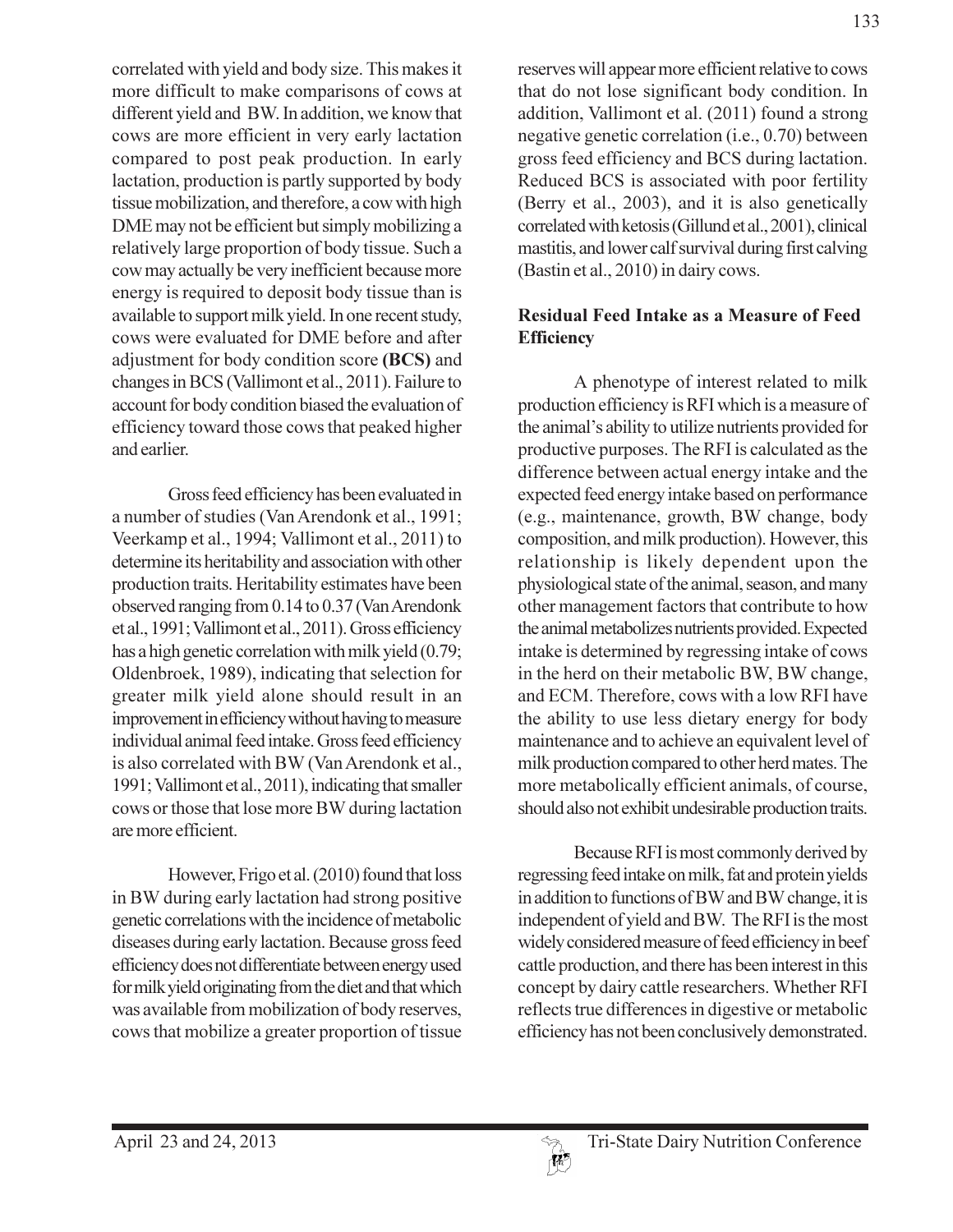correlated with yield and body size. This makes it more difficult to make comparisons of cows at different yield and BW. In addition, we know that cows are more efficient in very early lactation compared to post peak production. In early lactation, production is partly supported by body tissue mobilization, and therefore, a cow with high DME may not be efficient but simply mobilizing a relatively large proportion of body tissue. Such a cow may actually be very inefficient because more energy is required to deposit body tissue than is available to support milk yield. In one recent study, cows were evaluated for DME before and after adjustment for body condition score (BCS) and changes in BCS (Vallimont et al., 2011). Failure to account for body condition biased the evaluation of efficiency toward those cows that peaked higher and earlier.

Gross feed efficiency has been evaluated in a number of studies (Van Arendonk et al., 1991; Veerkamp et al., 1994; Vallimont et al., 2011) to determine its heritability and association with other production traits. Heritability estimates have been observed ranging from 0.14 to 0.37 (Van Arendonk et al., 1991; Vallimont et al., 2011). Gross efficiency has a high genetic correlation with milk yield (0.79; Oldenbroek, 1989), indicating that selection for greater milk yield alone should result in an improvement in efficiency without having to measure individual animal feed intake. Gross feed efficiency is also correlated with BW (Van Arendonk et al., 1991; Vallimont et al., 2011), indicating that smaller cows or those that lose more BW during lactation are more efficient.

However, Frigo et al. (2010) found that loss in BW during early lactation had strong positive genetic correlations with the incidence of metabolic diseases during early lactation. Because gross feed efficiency does not differentiate between energy used for milk yield originating from the diet and that which was available from mobilization of body reserves, cows that mobilize a greater proportion of tissue

reserves will appear more efficient relative to cows that do not lose significant body condition. In addition, Vallimont et al. (2011) found a strong negative genetic correlation (i.e., 0.70) between gross feed efficiency and BCS during lactation. Reduced BCS is associated with poor fertility (Berry et al., 2003), and it is also genetically correlated with ketosis (Gillund et al., 2001), clinical mastitis, and lower calf survival during first calving (Bastin et al., 2010) in dairy cows.

### **Residual Feed Intake as a Measure of Feed Efficiency**

A phenotype of interest related to milk production efficiency is RFI which is a measure of the animal's ability to utilize nutrients provided for productive purposes. The RFI is calculated as the difference between actual energy intake and the expected feed energy intake based on performance (e.g., maintenance, growth, BW change, body composition, and milk production). However, this relationship is likely dependent upon the physiological state of the animal, season, and many other management factors that contribute to how the animal metabolizes nutrients provided. Expected intake is determined by regressing intake of cows in the herd on their metabolic BW, BW change, and ECM. Therefore, cows with a low RFI have the ability to use less dietary energy for body maintenance and to achieve an equivalent level of milk production compared to other herd mates. The more metabolically efficient animals, of course, should also not exhibit undesirable production traits.

Because RFI is most commonly derived by regressing feed intake on milk, fat and protein yields in addition to functions of BW and BW change, it is independent of yield and BW. The RFI is the most widely considered measure of feed efficiency in beef cattle production, and there has been interest in this concept by dairy cattle researchers. Whether RFI reflects true differences in digestive or metabolic efficiency has not been conclusively demonstrated.

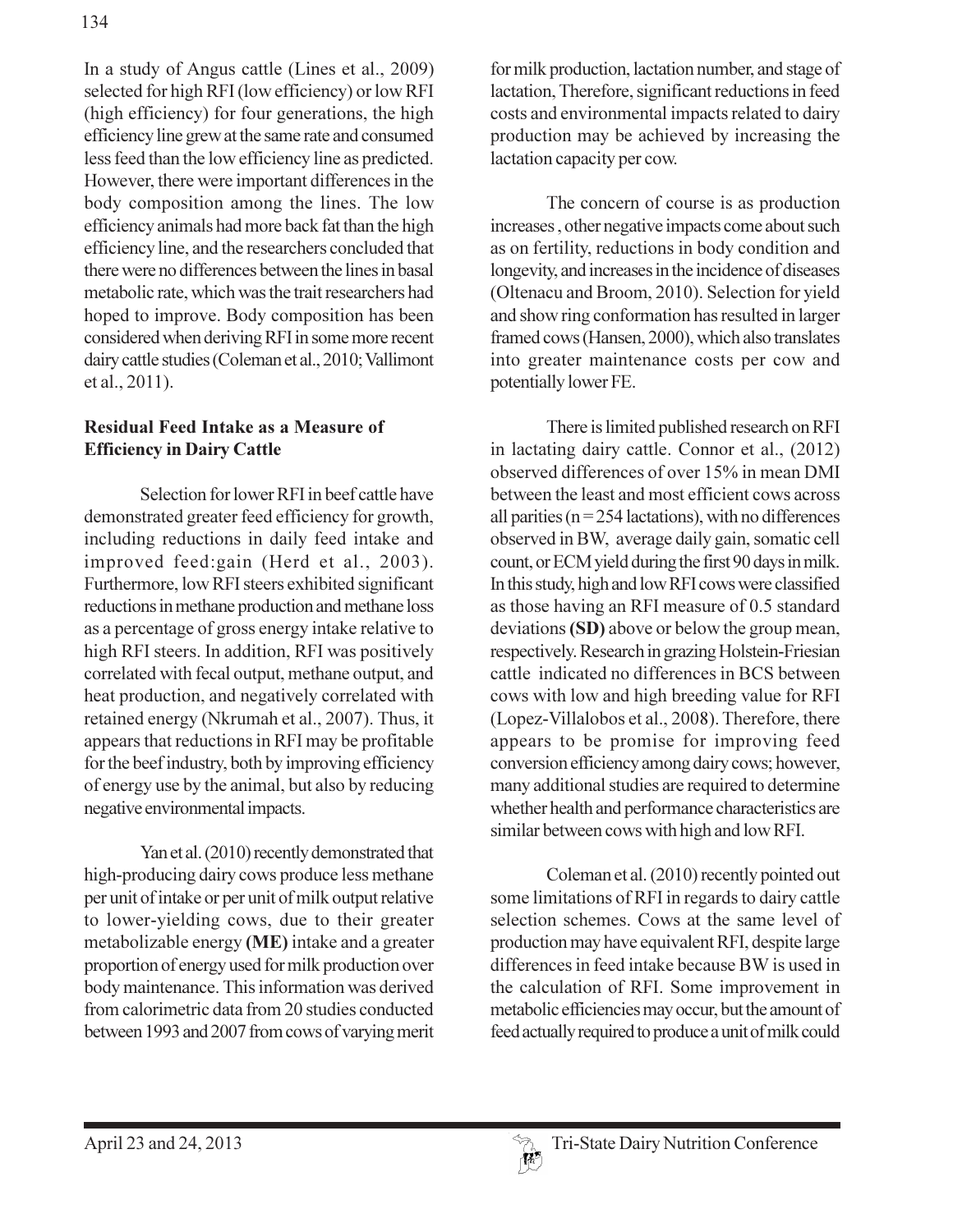In a study of Angus cattle (Lines et al., 2009) selected for high RFI (low efficiency) or low RFI (high efficiency) for four generations, the high efficiency line grew at the same rate and consumed less feed than the low efficiency line as predicted. However, there were important differences in the body composition among the lines. The low efficiency animals had more back fat than the high efficiency line, and the researchers concluded that there were no differences between the lines in basal metabolic rate, which was the trait researchers had hoped to improve. Body composition has been considered when deriving RFI in some more recent dairy cattle studies (Coleman et al., 2010; Vallimont et al., 2011).

### **Residual Feed Intake as a Measure of Efficiency in Dairy Cattle**

Selection for lower RFI in beef cattle have demonstrated greater feed efficiency for growth, including reductions in daily feed intake and improved feed:gain (Herd et al., 2003). Furthermore, low RFI steers exhibited significant reductions in methane production and methane loss as a percentage of gross energy intake relative to high RFI steers. In addition, RFI was positively correlated with fecal output, methane output, and heat production, and negatively correlated with retained energy (Nkrumah et al., 2007). Thus, it appears that reductions in RFI may be profitable for the beef industry, both by improving efficiency of energy use by the animal, but also by reducing negative environmental impacts.

Yan et al. (2010) recently demonstrated that high-producing dairy cows produce less methane per unit of intake or per unit of milk output relative to lower-yielding cows, due to their greater metabolizable energy (ME) intake and a greater proportion of energy used for milk production over body maintenance. This information was derived from calorimetric data from 20 studies conducted between 1993 and 2007 from cows of varying merit for milk production, lactation number, and stage of lactation, Therefore, significant reductions in feed costs and environmental impacts related to dairy production may be achieved by increasing the lactation capacity per cow.

The concern of course is as production increases, other negative impacts come about such as on fertility, reductions in body condition and longevity, and increases in the incidence of diseases (Oltenacu and Broom, 2010). Selection for yield and show ring conformation has resulted in larger framed cows (Hansen, 2000), which also translates into greater maintenance costs per cow and potentially lower FE.

There is limited published research on RFI in lactating dairy cattle. Connor et al., (2012) observed differences of over 15% in mean DMI between the least and most efficient cows across all parities ( $n = 254$  lactations), with no differences observed in BW, average daily gain, somatic cell count, or ECM yield during the first 90 days in milk. In this study, high and low RFI cows were classified as those having an RFI measure of 0.5 standard deviations (SD) above or below the group mean, respectively. Research in grazing Holstein-Friesian cattle indicated no differences in BCS between cows with low and high breeding value for RFI (Lopez-Villalobos et al., 2008). Therefore, there appears to be promise for improving feed conversion efficiency among dairy cows; however, many additional studies are required to determine whether health and performance characteristics are similar between cows with high and low RFI.

Coleman et al. (2010) recently pointed out some limitations of RFI in regards to dairy cattle selection schemes. Cows at the same level of production may have equivalent RFI, despite large differences in feed intake because BW is used in the calculation of RFI. Some improvement in metabolic efficiencies may occur, but the amount of feed actually required to produce a unit of milk could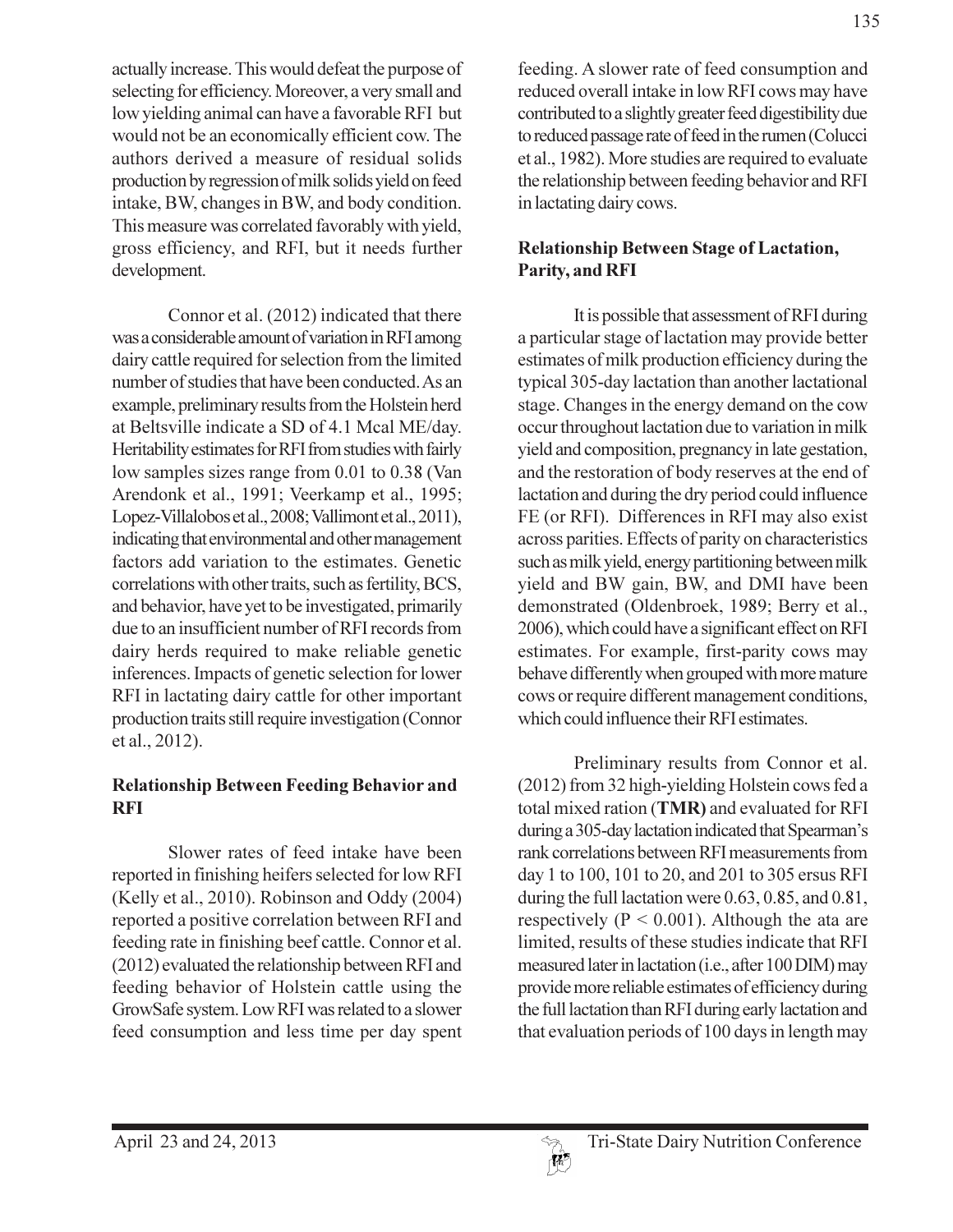actually increase. This would defeat the purpose of selecting for efficiency. Moreover, a very small and low yielding animal can have a favorable RFI but would not be an economically efficient cow. The authors derived a measure of residual solids production by regression of milk solids yield on feed intake, BW, changes in BW, and body condition. This measure was correlated favorably with yield, gross efficiency, and RFI, but it needs further development.

Connor et al. (2012) indicated that there was a considerable amount of variation in RFI among dairy cattle required for selection from the limited number of studies that have been conducted. As an example, preliminary results from the Holstein herd at Beltsville indicate a SD of 4.1 Mcal ME/day. Heritability estimates for RFI from studies with fairly low samples sizes range from 0.01 to 0.38 (Van Arendonk et al., 1991; Veerkamp et al., 1995; Lopez-Villalobos et al., 2008; Vallimont et al., 2011), indicating that environmental and other management factors add variation to the estimates. Genetic correlations with other traits, such as fertility, BCS, and behavior, have yet to be investigated, primarily due to an insufficient number of RFI records from dairy herds required to make reliable genetic inferences. Impacts of genetic selection for lower RFI in lactating dairy cattle for other important production traits still require investigation (Connor et al., 2012).

#### **Relationship Between Feeding Behavior and RFI**

Slower rates of feed intake have been reported in finishing heifers selected for low RFI (Kelly et al., 2010). Robinson and Oddy (2004) reported a positive correlation between RFI and feeding rate in finishing beef cattle. Connor et al. (2012) evaluated the relationship between RFI and feeding behavior of Holstein cattle using the GrowSafe system. Low RFI was related to a slower feed consumption and less time per day spent feeding. A slower rate of feed consumption and reduced overall intake in low RFI cows may have contributed to a slightly greater feed digestibility due to reduced passage rate of feed in the rumen (Colucci et al., 1982). More studies are required to evaluate the relationship between feeding behavior and RFI in lactating dairy cows.

### **Relationship Between Stage of Lactation,** Parity, and RFI

It is possible that assessment of RFI during a particular stage of lactation may provide better estimates of milk production efficiency during the typical 305-day lactation than another lactational stage. Changes in the energy demand on the cow occur throughout lactation due to variation in milk yield and composition, pregnancy in late gestation, and the restoration of body reserves at the end of lactation and during the dry period could influence FE (or RFI). Differences in RFI may also exist across parities. Effects of parity on characteristics such as milk yield, energy partitioning between milk yield and BW gain, BW, and DMI have been demonstrated (Oldenbroek, 1989; Berry et al., 2006), which could have a significant effect on RFI estimates. For example, first-parity cows may behave differently when grouped with more mature cows or require different management conditions, which could influence their RFI estimates.

Preliminary results from Connor et al. (2012) from 32 high-yielding Holstein cows fed a total mixed ration (TMR) and evaluated for RFI during a 305-day lactation indicated that Spearman's rank correlations between RFI measurements from day 1 to 100, 101 to 20, and 201 to 305 ersus RFI during the full lactation were 0.63, 0.85, and 0.81, respectively ( $P < 0.001$ ). Although the ata are limited, results of these studies indicate that RFI measured later in lactation (i.e., after 100 DIM) may provide more reliable estimates of efficiency during the full lactation than RFI during early lactation and that evaluation periods of 100 days in length may

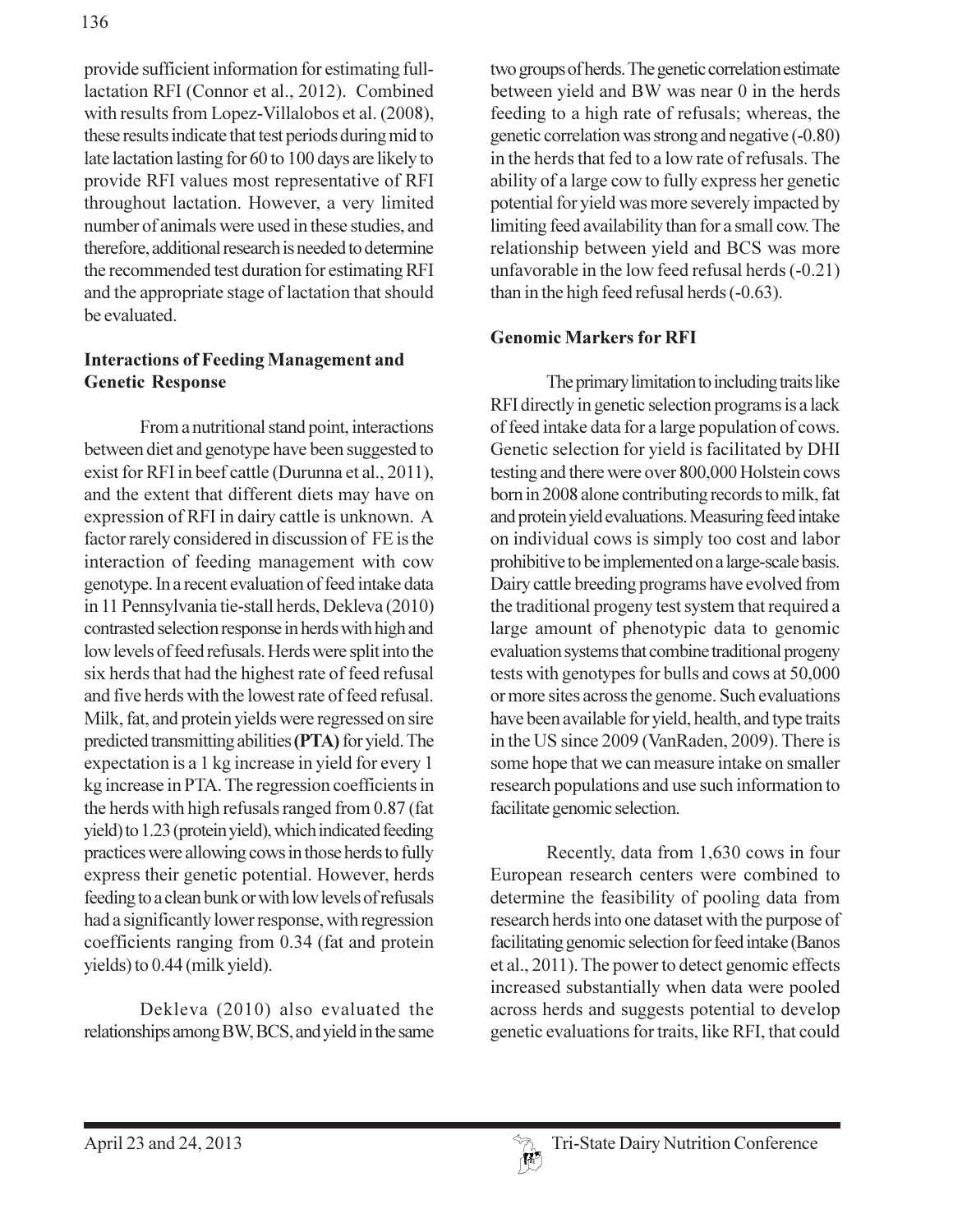provide sufficient information for estimating fulllactation RFI (Connor et al., 2012). Combined with results from Lopez-Villalobos et al. (2008), these results indicate that test periods during mid to late lactation lasting for 60 to 100 days are likely to provide RFI values most representative of RFI throughout lactation. However, a very limited number of animals were used in these studies, and therefore, additional research is needed to determine the recommended test duration for estimating RFI and the appropriate stage of lactation that should be evaluated.

#### **Interactions of Feeding Management and Genetic Response**

From a nutritional stand point, interactions between diet and genotype have been suggested to exist for RFI in beef cattle (Durunna et al., 2011), and the extent that different diets may have on expression of RFI in dairy cattle is unknown. A factor rarely considered in discussion of FE is the interaction of feeding management with cow genotype. In a recent evaluation of feed intake data in 11 Pennsylvania tie-stall herds, Dekleva (2010) contrasted selection response in herds with high and low levels of feed refusals. Herds were split into the six herds that had the highest rate of feed refusal and five herds with the lowest rate of feed refusal. Milk, fat, and protein yields were regressed on sire predicted transmitting abilities (PTA) for yield. The expectation is a 1 kg increase in yield for every 1 kg increase in PTA. The regression coefficients in the herds with high refusals ranged from 0.87 (fat yield) to 1.23 (protein yield), which indicated feeding practices were allowing cows in those herds to fully express their genetic potential. However, herds feeding to a clean bunk or with low levels of refusals had a significantly lower response, with regression coefficients ranging from 0.34 (fat and protein yields) to 0.44 (milk yield).

Dekleva (2010) also evaluated the relationships among BW, BCS, and yield in the same two groups of herds. The genetic correlation estimate between yield and BW was near 0 in the herds feeding to a high rate of refusals; whereas, the genetic correlation was strong and negative (-0.80) in the herds that fed to a low rate of refusals. The ability of a large cow to fully express her genetic potential for yield was more severely impacted by limiting feed availability than for a small cow. The relationship between yield and BCS was more unfavorable in the low feed refusal herds (-0.21) than in the high feed refusal herds (-0.63).

#### **Genomic Markers for RFI**

The primary limitation to including traits like RFI directly in genetic selection programs is a lack of feed intake data for a large population of cows. Genetic selection for yield is facilitated by DHI testing and there were over 800,000 Holstein cows born in 2008 alone contributing records to milk, fat and protein yield evaluations. Measuring feed intake on individual cows is simply too cost and labor prohibitive to be implemented on a large-scale basis. Dairy cattle breeding programs have evolved from the traditional progeny test system that required a large amount of phenotypic data to genomic evaluation systems that combine traditional progeny tests with genotypes for bulls and cows at 50,000 or more sites across the genome. Such evaluations have been available for yield, health, and type traits in the US since 2009 (VanRaden, 2009). There is some hope that we can measure intake on smaller research populations and use such information to facilitate genomic selection.

Recently, data from 1,630 cows in four European research centers were combined to determine the feasibility of pooling data from research herds into one dataset with the purpose of facilitating genomic selection for feed intake (Banos et al., 2011). The power to detect genomic effects increased substantially when data were pooled across herds and suggests potential to develop genetic evaluations for traits, like RFI, that could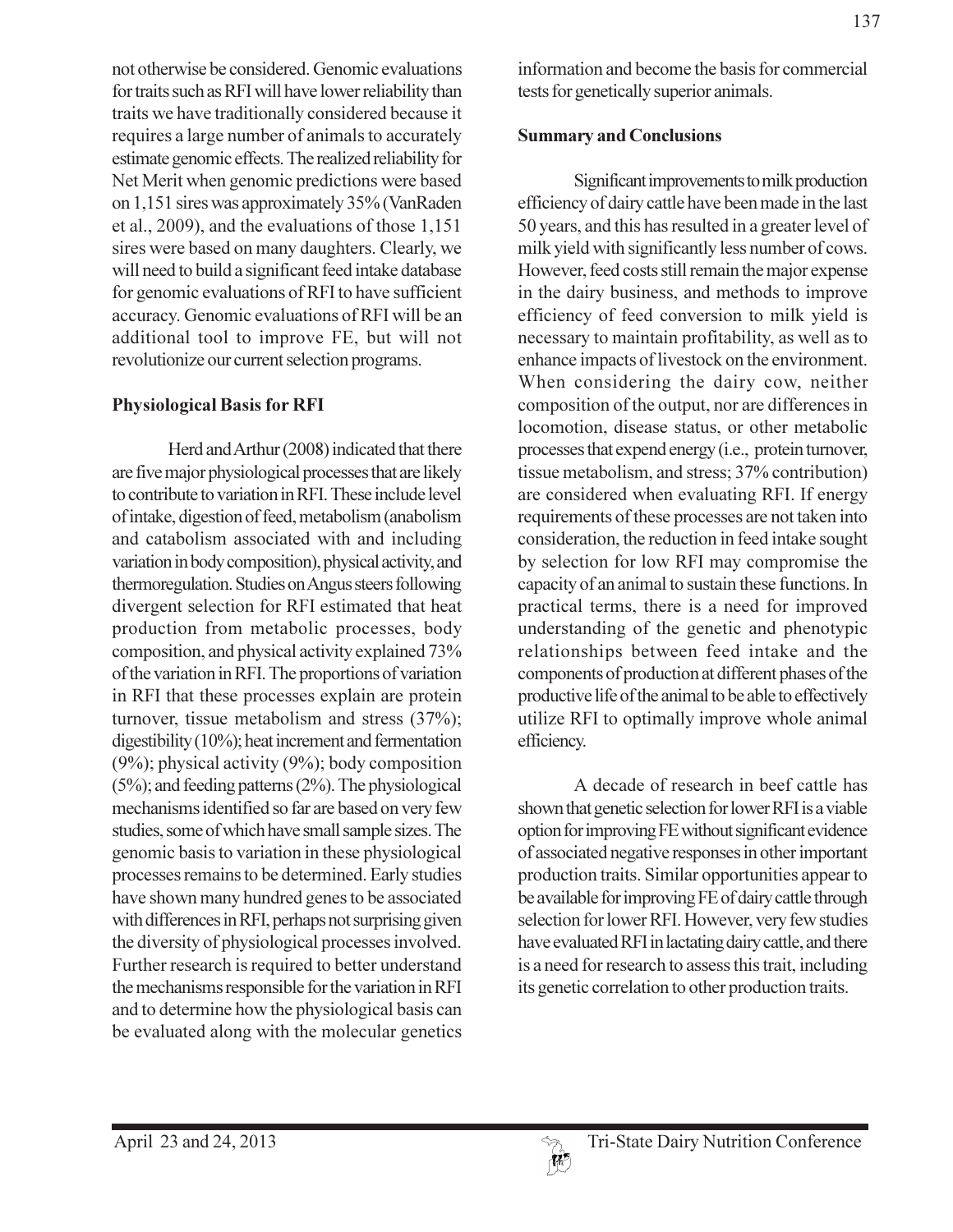not otherwise be considered. Genomic evaluations for traits such as RFI will have lower reliability than traits we have traditionally considered because it requires a large number of animals to accurately estimate genomic effects. The realized reliability for Net Merit when genomic predictions were based on 1,151 sires was approximately 35% (VanRaden et al., 2009), and the evaluations of those 1,151 sires were based on many daughters. Clearly, we will need to build a significant feed intake database for genomic evaluations of RFI to have sufficient accuracy. Genomic evaluations of RFI will be an additional tool to improve FE, but will not revolutionize our current selection programs.

#### **Physiological Basis for RFI**

Herd and Arthur (2008) indicated that there are five major physiological processes that are likely to contribute to variation in RFI. These include level of intake, digestion of feed, metabolism (anabolism and catabolism associated with and including variation in body composition), physical activity, and thermoregulation. Studies on Angus steers following divergent selection for RFI estimated that heat production from metabolic processes, body composition, and physical activity explained 73% of the variation in RFI. The proportions of variation in RFI that these processes explain are protein turnover, tissue metabolism and stress (37%); digestibility  $(10\%)$ ; heat increment and fermentation  $(9\%)$ ; physical activity  $(9\%)$ ; body composition  $(5\%)$ ; and feeding patterns  $(2\%)$ . The physiological mechanisms identified so far are based on very few studies, some of which have small sample sizes. The genomic basis to variation in these physiological processes remains to be determined. Early studies have shown many hundred genes to be associated with differences in RFI, perhaps not surprising given the diversity of physiological processes involved. Further research is required to better understand the mechanisms responsible for the variation in RFI and to determine how the physiological basis can be evaluated along with the molecular genetics

information and become the basis for commercial tests for genetically superior animals.

#### **Summary and Conclusions**

Significant improvements to milk production efficiency of dairy cattle have been made in the last 50 years, and this has resulted in a greater level of milk yield with significantly less number of cows. However, feed costs still remain the major expense in the dairy business, and methods to improve efficiency of feed conversion to milk yield is necessary to maintain profitability, as well as to enhance impacts of livestock on the environment. When considering the dairy cow, neither composition of the output, nor are differences in locomotion, disease status, or other metabolic processes that expend energy (i.e., protein turnover, tissue metabolism, and stress; 37% contribution) are considered when evaluating RFI. If energy requirements of these processes are not taken into consideration, the reduction in feed intake sought by selection for low RFI may compromise the capacity of an animal to sustain these functions. In practical terms, there is a need for improved understanding of the genetic and phenotypic relationships between feed intake and the components of production at different phases of the productive life of the animal to be able to effectively utilize RFI to optimally improve whole animal efficiency.

A decade of research in beef cattle has shown that genetic selection for lower RFI is a viable option for improving FE without significant evidence of associated negative responses in other important production traits. Similar opportunities appear to be available for improving FE of dairy cattle through selection for lower RFI. However, very few studies have evaluated RFI in lactating dairy cattle, and there is a need for research to assess this trait, including its genetic correlation to other production traits.

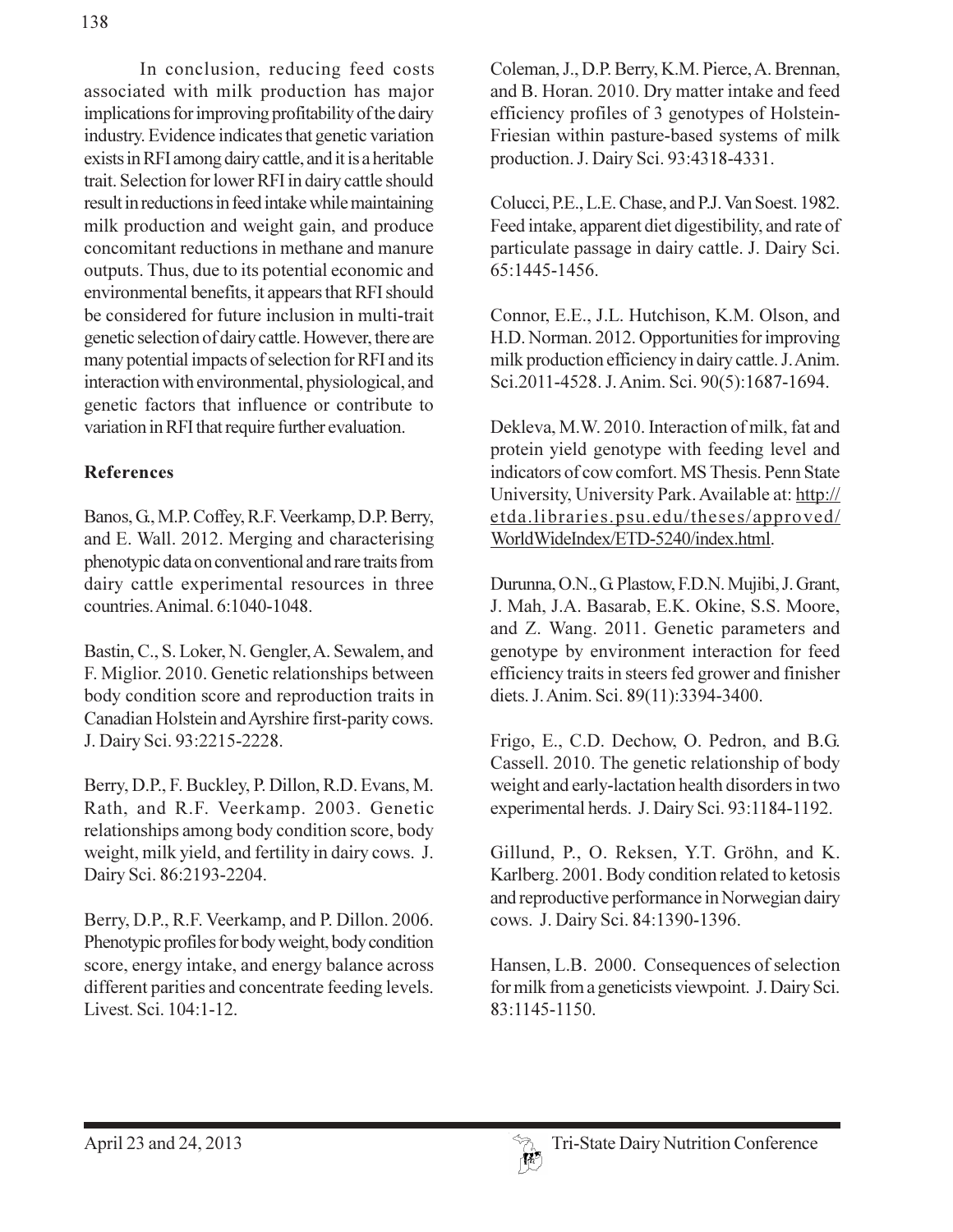In conclusion, reducing feed costs associated with milk production has major implications for improving profitability of the dairy industry. Evidence indicates that genetic variation exists in RFI among dairy cattle, and it is a heritable trait. Selection for lower RFI in dairy cattle should result in reductions in feed intake while maintaining milk production and weight gain, and produce concomitant reductions in methane and manure outputs. Thus, due to its potential economic and environmental benefits, it appears that RFI should be considered for future inclusion in multi-trait genetic selection of dairy cattle. However, there are many potential impacts of selection for RFI and its interaction with environmental, physiological, and genetic factors that influence or contribute to variation in RFI that require further evaluation.

## **References**

Banos, G., M.P. Coffey, R.F. Veerkamp, D.P. Berry, and E. Wall. 2012. Merging and characterising phenotypic data on conventional and rare traits from dairy cattle experimental resources in three countries. Animal. 6:1040-1048.

Bastin, C., S. Loker, N. Gengler, A. Sewalem, and F. Miglior. 2010. Genetic relationships between body condition score and reproduction traits in Canadian Holstein and Ayrshire first-parity cows. J. Dairy Sci. 93:2215-2228.

Berry, D.P., F. Buckley, P. Dillon, R.D. Evans, M. Rath, and R.F. Veerkamp. 2003. Genetic relationships among body condition score, body weight, milk yield, and fertility in dairy cows. J. Dairy Sci. 86:2193-2204.

Berry, D.P., R.F. Veerkamp, and P. Dillon. 2006. Phenotypic profiles for body weight, body condition score, energy intake, and energy balance across different parities and concentrate feeding levels. Livest. Sci. 104:1-12.

Coleman, J., D.P. Berry, K.M. Pierce, A. Brennan, and B. Horan. 2010. Dry matter intake and feed efficiency profiles of 3 genotypes of Holstein-Friesian within pasture-based systems of milk production. J. Dairy Sci. 93:4318-4331.

Colucci, P.E., L.E. Chase, and P.J. Van Soest. 1982. Feed intake, apparent diet digestibility, and rate of particulate passage in dairy cattle. J. Dairy Sci. 65:1445-1456.

Connor, E.E., J.L. Hutchison, K.M. Olson, and H.D. Norman. 2012. Opportunities for improving milk production efficiency in dairy cattle. J. Anim. Sci.2011-4528. J. Anim. Sci. 90(5):1687-1694.

Dekleva, M.W. 2010. Interaction of milk, fat and protein yield genotype with feeding level and indicators of cow comfort. MS Thesis. Penn State University, University Park. Available at: http:// etda.libraries.psu.edu/theses/approved/ WorldWideIndex/ETD-5240/index.html.

Durunna, O.N., G. Plastow, F.D.N. Mujibi, J. Grant, J. Mah, J.A. Basarab, E.K. Okine, S.S. Moore, and Z. Wang. 2011. Genetic parameters and genotype by environment interaction for feed efficiency traits in steers fed grower and finisher diets. J. Anim. Sci. 89(11):3394-3400.

Frigo, E., C.D. Dechow, O. Pedron, and B.G. Cassell. 2010. The genetic relationship of body weight and early-lactation health disorders in two experimental herds. J. Dairy Sci. 93:1184-1192.

Gillund, P., O. Reksen, Y.T. Gröhn, and K. Karlberg. 2001. Body condition related to ketosis and reproductive performance in Norwegian dairy cows. J. Dairy Sci. 84:1390-1396.

Hansen, L.B. 2000. Consequences of selection for milk from a geneticists viewpoint. J. Dairy Sci. 83:1145-1150.

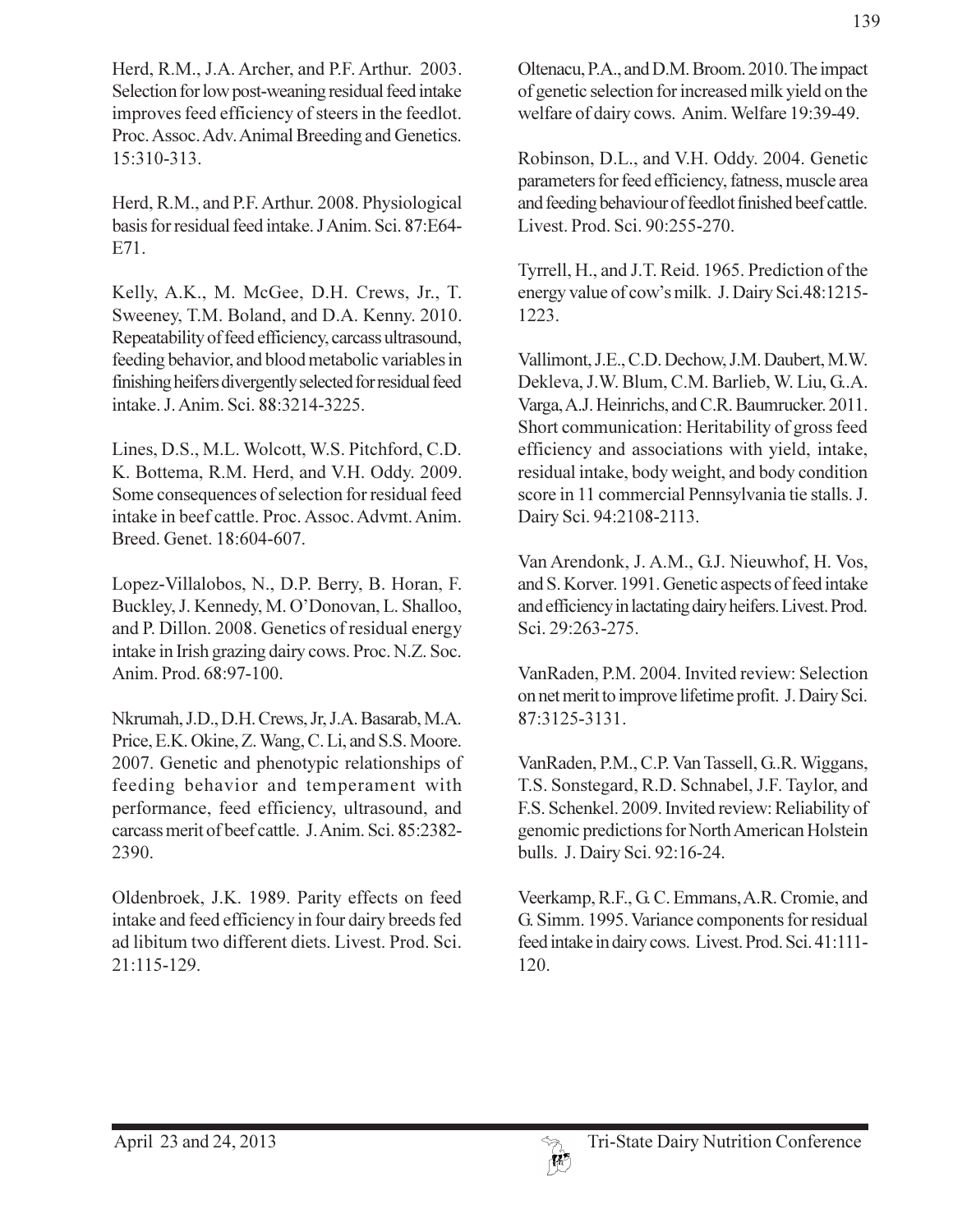Herd, R.M., J.A. Archer, and P.F. Arthur. 2003. Selection for low post-weaning residual feed intake improves feed efficiency of steers in the feedlot. Proc. Assoc. Adv. Animal Breeding and Genetics. 15:310-313.

Herd, R.M., and P.F. Arthur. 2008. Physiological basis for residual feed intake. J Anim. Sci. 87:E64-E71.

Kelly, A.K., M. McGee, D.H. Crews, Jr., T. Sweeney, T.M. Boland, and D.A. Kenny. 2010. Repeatability of feed efficiency, carcass ultrasound, feeding behavior, and blood metabolic variables in finishing heifers divergently selected for residual feed intake. J. Anim. Sci. 88:3214-3225.

Lines, D.S., M.L. Wolcott, W.S. Pitchford, C.D. K. Bottema, R.M. Herd, and V.H. Oddy. 2009. Some consequences of selection for residual feed intake in beef cattle. Proc. Assoc. Advmt. Anim. Breed. Genet. 18:604-607.

Lopez-Villalobos, N., D.P. Berry, B. Horan, F. Buckley, J. Kennedy, M. O'Donovan, L. Shalloo, and P. Dillon. 2008. Genetics of residual energy intake in Irish grazing dairy cows. Proc. N.Z. Soc. Anim. Prod. 68:97-100.

Nkrumah, J.D., D.H. Crews, Jr, J.A. Basarab, M.A. Price, E.K. Okine, Z. Wang, C. Li, and S.S. Moore. 2007. Genetic and phenotypic relationships of feeding behavior and temperament with performance, feed efficiency, ultrasound, and carcass merit of beef cattle. J. Anim. Sci. 85:2382-2390.

Oldenbroek, J.K. 1989. Parity effects on feed intake and feed efficiency in four dairy breeds fed ad libitum two different diets. Livest. Prod. Sci. 21:115-129.

Oltenacu, P.A., and D.M. Broom. 2010. The impact of genetic selection for increased milk yield on the welfare of dairy cows. Anim. Welfare 19:39-49.

Robinson, D.L., and V.H. Oddy. 2004. Genetic parameters for feed efficiency, fatness, muscle area and feeding behaviour of feedlot finished beef cattle. Livest, Prod. Sci. 90:255-270.

Tyrrell, H., and J.T. Reid. 1965. Prediction of the energy value of cow's milk. J. Dairy Sci.48:1215-1223.

Vallimont, J.E., C.D. Dechow, J.M. Daubert, M.W. Dekleva, J.W. Blum, C.M. Barlieb, W. Liu, G.A. Varga, A.J. Heinrichs, and C.R. Baumrucker. 2011. Short communication: Heritability of gross feed efficiency and associations with yield, intake, residual intake, body weight, and body condition score in 11 commercial Pennsylvania tie stalls. J. Dairy Sci. 94:2108-2113.

Van Arendonk, J. A.M., G.J. Nieuwhof, H. Vos, and S. Korver. 1991. Genetic aspects of feed intake and efficiency in lactating dairy heifers. Livest. Prod. Sci. 29:263-275.

VanRaden, P.M. 2004. Invited review: Selection on net merit to improve lifetime profit. J. Dairy Sci. 87:3125-3131.

VanRaden, P.M., C.P. Van Tassell, G.R. Wiggans, T.S. Sonstegard, R.D. Schnabel, J.F. Taylor, and F.S. Schenkel. 2009. Invited review: Reliability of genomic predictions for North American Holstein bulls. J. Dairy Sci. 92:16-24.

Veerkamp, R.F., G.C. Emmans, A.R. Cromie, and G. Simm. 1995. Variance components for residual feed intake in dairy cows. Livest. Prod. Sci. 41:111-120.